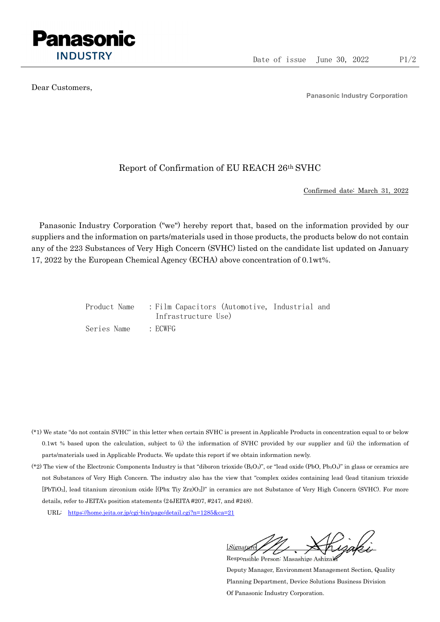

Dear Customers,

Panasonic Industry Corporation

## Report of Confirmation of EU REACH 26th SVHC

Confirmed date: March 31, 2022

Panasonic Industry Corporation ("we") hereby report that, based on the information provided by our suppliers and the information on parts/materials used in those products, the products below do not contain any of the 223 Substances of Very High Concern (SVHC) listed on the candidate list updated on January 17, 2022 by the European Chemical Agency (ECHA) above concentration of 0.1wt%.

|             | Product Name : Film Capacitors (Automotive, Industrial and |  |
|-------------|------------------------------------------------------------|--|
|             | Infrastructure Use)                                        |  |
| Series Name | : ECWFG                                                    |  |

- (\*1) We state "do not contain SVHC" in this letter when certain SVHC is present in Applicable Products in concentration equal to or below 0.1wt % based upon the calculation, subject to (i) the information of SVHC provided by our supplier and (ii) the information of parts/materials used in Applicable Products. We update this report if we obtain information newly.
- (\*2) The view of the Electronic Components Industry is that "diboron trioxide  $(B_2O_3)$ ", or "lead oxide (PbO, Pb<sub>3</sub>O<sub>4</sub>)" in glass or ceramics are not Substances of Very High Concern. The industry also has the view that "complex oxides containing lead (lead titanium trioxide [PbTiO3], lead titanium zirconium oxide [(Pbx Tiy Zrz)O3])" in ceramics are not Substance of Very High Concern (SVHC). For more details, refer to JEITA's position statements (24JEITA #207, #247, and #248).
	- URL: https://home.jeita.or.jp/cgi-bin/page/detail.cgi?n=1285&ca=21

[Signature] Responsible Person: Masashige Ashizaki

Deputy Manager, Environment Management Section, Quality Planning Department, Device Solutions Business Division Of Panasonic Industry Corporation.